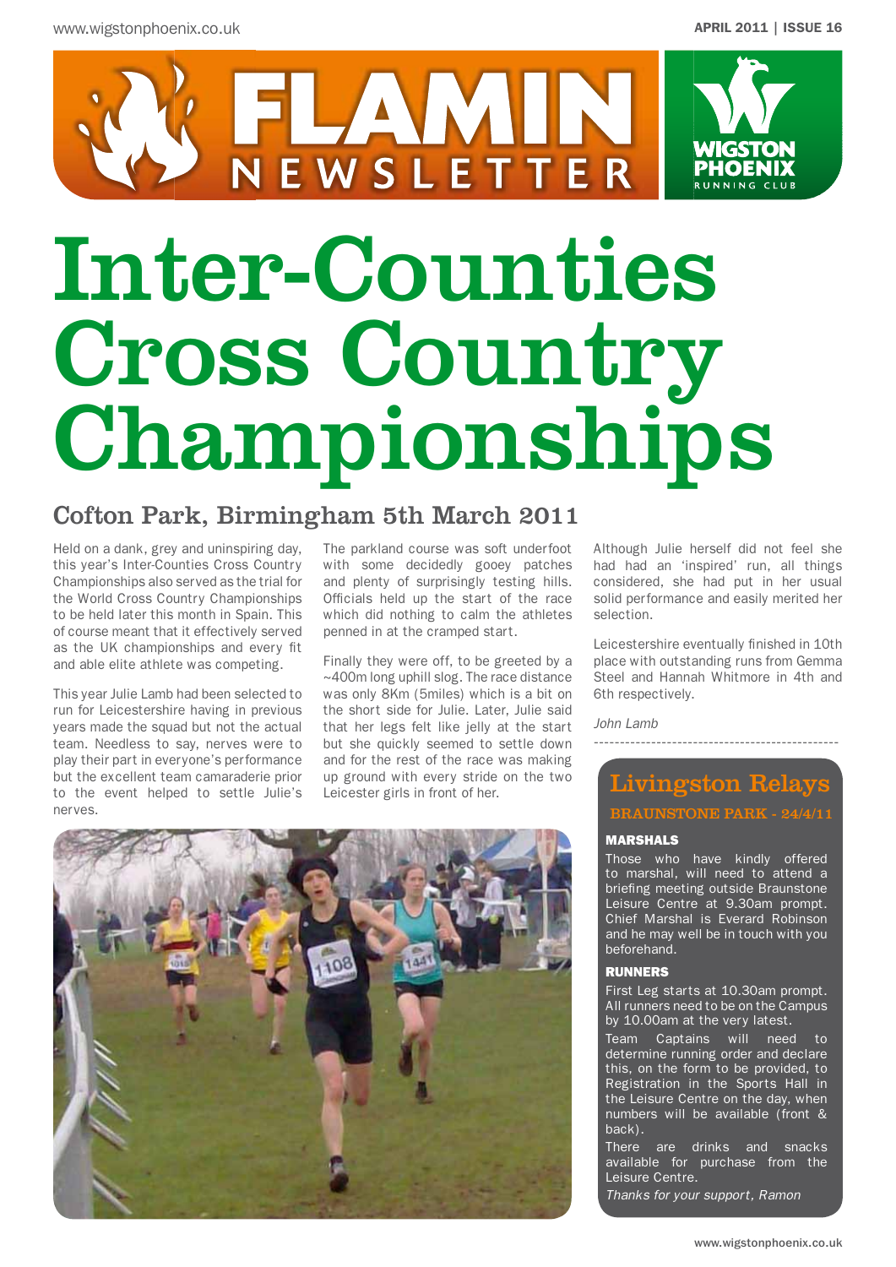

# Inter-Counties Cross Country Championships

### Cofton Park, Birmingham 5th March 2011

Held on a dank, grey and uninspiring day, this year's Inter-Counties Cross Country Championships also served as the trial for the World Cross Country Championships to be held later this month in Spain. This of course meant that it effectively served as the UK championships and every fit and able elite athlete was competing.

This year Julie Lamb had been selected to run for Leicestershire having in previous years made the squad but not the actual team. Needless to say, nerves were to play their part in everyone's performance but the excellent team camaraderie prior to the event helped to settle Julie's nerves.

The parkland course was soft underfoot with some decidedly gooey patches and plenty of surprisingly testing hills. Officials held up the start of the race which did nothing to calm the athletes penned in at the cramped start.

Finally they were off, to be greeted by a ~400m long uphill slog. The race distance was only 8Km (5miles) which is a bit on the short side for Julie. Later, Julie said that her legs felt like jelly at the start but she quickly seemed to settle down and for the rest of the race was making up ground with every stride on the two Leicester girls in front of her.

Although Julie herself did not feel she had had an 'inspired' run, all things considered, she had put in her usual solid performance and easily merited her selection.

Leicestershire eventually finished in 10th place with outstanding runs from Gemma Steel and Hannah Whitmore in 4th and 6th respectively.

*John Lamb*

## Livingston Relays BRAUNSTONE PARK - 24/4/11

-----------------------------------------------

### MARSHALS

Those who have kindly offered to marshal, will need to attend a briefing meeting outside Braunstone Leisure Centre at 9.30am prompt. Chief Marshal is Everard Robinson and he may well be in touch with you beforehand.

#### RUNNERS

First Leg starts at 10.30am prompt. All runners need to be on the Campus by 10.00am at the very latest.

Team Captains will need to determine running order and declare this, on the form to be provided, to Registration in the Sports Hall in the Leisure Centre on the day, when numbers will be available (front & back).

There are drinks and snacks available for purchase from the Leisure Centre.

*Thanks for your support, Ramon*

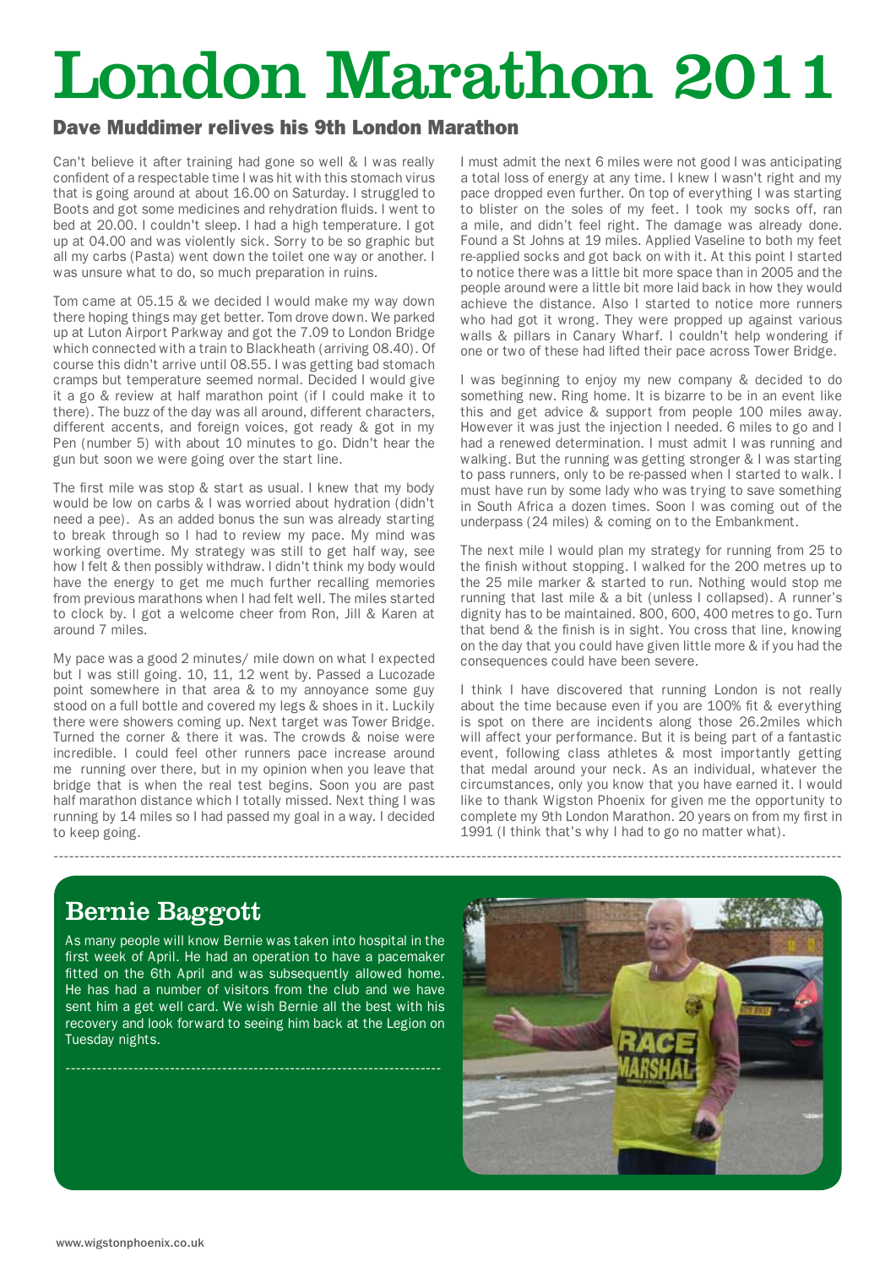# London Marathon 2011

-------------------------------------------------------------------------------------------------------------------------------------------------------

### Dave Muddimer relives his 9th London Marathon

Can't believe it after training had gone so well & I was really confident of a respectable time I was hit with this stomach virus that is going around at about 16.00 on Saturday. I struggled to Boots and got some medicines and rehydration fluids. I went to bed at 20.00. I couldn't sleep. I had a high temperature. I got up at 04.00 and was violently sick. Sorry to be so graphic but all my carbs (Pasta) went down the toilet one way or another. I was unsure what to do, so much preparation in ruins.

Tom came at 05.15 & we decided I would make my way down there hoping things may get better. Tom drove down. We parked up at Luton Airport Parkway and got the 7.09 to London Bridge which connected with a train to Blackheath (arriving 08.40). Of course this didn't arrive until 08.55. I was getting bad stomach cramps but temperature seemed normal. Decided I would give it a go & review at half marathon point (if I could make it to there). The buzz of the day was all around, different characters, different accents, and foreign voices, got ready & got in my Pen (number 5) with about 10 minutes to go. Didn't hear the gun but soon we were going over the start line.

The first mile was stop & start as usual. I knew that my body would be low on carbs & I was worried about hydration (didn't need a pee). As an added bonus the sun was already starting to break through so I had to review my pace. My mind was working overtime. My strategy was still to get half way, see how I felt & then possibly withdraw. I didn't think my body would have the energy to get me much further recalling memories from previous marathons when I had felt well. The miles started to clock by. I got a welcome cheer from Ron, Jill & Karen at around 7 miles.

My pace was a good 2 minutes/ mile down on what I expected but I was still going. 10, 11, 12 went by. Passed a Lucozade point somewhere in that area & to my annoyance some guy stood on a full bottle and covered my legs & shoes in it. Luckily there were showers coming up. Next target was Tower Bridge. Turned the corner & there it was. The crowds & noise were incredible. I could feel other runners pace increase around me running over there, but in my opinion when you leave that bridge that is when the real test begins. Soon you are past half marathon distance which I totally missed. Next thing I was running by 14 miles so I had passed my goal in a way. I decided to keep going.

I must admit the next 6 miles were not good I was anticipating a total loss of energy at any time. I knew I wasn't right and my pace dropped even further. On top of everything I was starting to blister on the soles of my feet. I took my socks off, ran a mile, and didn't feel right. The damage was already done. Found a St Johns at 19 miles. Applied Vaseline to both my feet re-applied socks and got back on with it. At this point I started to notice there was a little bit more space than in 2005 and the people around were a little bit more laid back in how they would achieve the distance. Also I started to notice more runners who had got it wrong. They were propped up against various walls & pillars in Canary Wharf. I couldn't help wondering if one or two of these had lifted their pace across Tower Bridge.

I was beginning to enjoy my new company & decided to do something new. Ring home. It is bizarre to be in an event like this and get advice & support from people 100 miles away. However it was just the injection I needed. 6 miles to go and I had a renewed determination. I must admit I was running and walking. But the running was getting stronger & I was starting to pass runners, only to be re-passed when I started to walk. I must have run by some lady who was trying to save something in South Africa a dozen times. Soon I was coming out of the underpass (24 miles) & coming on to the Embankment.

The next mile I would plan my strategy for running from 25 to the finish without stopping. I walked for the 200 metres up to the 25 mile marker & started to run. Nothing would stop me running that last mile & a bit (unless I collapsed). A runner's dignity has to be maintained. 800, 600, 400 metres to go. Turn that bend & the finish is in sight. You cross that line, knowing on the day that you could have given little more & if you had the consequences could have been severe.

I think I have discovered that running London is not really about the time because even if you are 100% fit & everything is spot on there are incidents along those 26.2miles which will affect your performance. But it is being part of a fantastic event, following class athletes & most importantly getting that medal around your neck. As an individual, whatever the circumstances, only you know that you have earned it. I would like to thank Wigston Phoenix for given me the opportunity to complete my 9th London Marathon. 20 years on from my first in 1991 (I think that's why I had to go no matter what).

# Bernie Baggott

As many people will know Bernie was taken into hospital in the first week of April. He had an operation to have a pacemaker fitted on the 6th April and was subsequently allowed home. He has had a number of visitors from the club and we have sent him a get well card. We wish Bernie all the best with his recovery and look forward to seeing him back at the Legion on Tuesday nights.

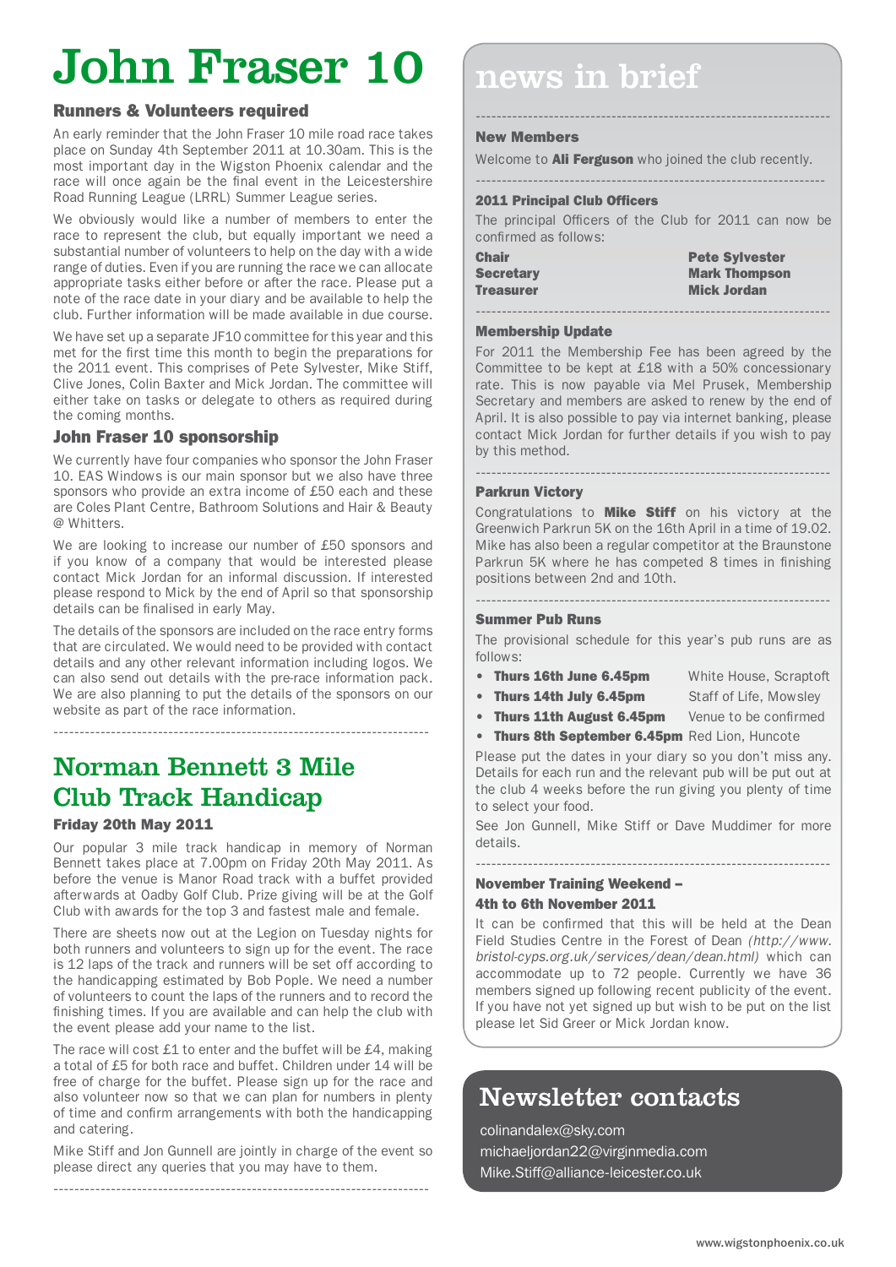# John Fraser 10

### Runners & Volunteers required

An early reminder that the John Fraser 10 mile road race takes place on Sunday 4th September 2011 at 10.30am. This is the most important day in the Wigston Phoenix calendar and the race will once again be the final event in the Leicestershire Road Running League (LRRL) Summer League series.

We obviously would like a number of members to enter the race to represent the club, but equally important we need a substantial number of volunteers to help on the day with a wide range of duties. Even if you are running the race we can allocate appropriate tasks either before or after the race. Please put a note of the race date in your diary and be available to help the club. Further information will be made available in due course.

We have set up a separate JF10 committee for this year and this met for the first time this month to begin the preparations for the 2011 event. This comprises of Pete Sylvester, Mike Stiff, Clive Jones, Colin Baxter and Mick Jordan. The committee will either take on tasks or delegate to others as required during the coming months.

### John Fraser 10 sponsorship

We currently have four companies who sponsor the John Fraser 10. EAS Windows is our main sponsor but we also have three sponsors who provide an extra income of £50 each and these are Coles Plant Centre, Bathroom Solutions and Hair & Beauty @ Whitters.

We are looking to increase our number of £50 sponsors and if you know of a company that would be interested please contact Mick Jordan for an informal discussion. If interested please respond to Mick by the end of April so that sponsorship details can be finalised in early May.

The details of the sponsors are included on the race entry forms that are circulated. We would need to be provided with contact details and any other relevant information including logos. We can also send out details with the pre-race information pack. We are also planning to put the details of the sponsors on our website as part of the race information.

## Norman Bennett 3 Mile Club Track Handicap

### Friday 20th May 2011

Our popular 3 mile track handicap in memory of Norman Bennett takes place at 7.00pm on Friday 20th May 2011. As before the venue is Manor Road track with a buffet provided afterwards at Oadby Golf Club. Prize giving will be at the Golf Club with awards for the top 3 and fastest male and female.

There are sheets now out at the Legion on Tuesday nights for both runners and volunteers to sign up for the event. The race is 12 laps of the track and runners will be set off according to the handicapping estimated by Bob Pople. We need a number of volunteers to count the laps of the runners and to record the finishing times. If you are available and can help the club with the event please add your name to the list.

The race will cost £1 to enter and the buffet will be £4, making a total of £5 for both race and buffet. Children under 14 will be free of charge for the buffet. Please sign up for the race and also volunteer now so that we can plan for numbers in plenty of time and confirm arrangements with both the handicapping and catering.

Mike Stiff and Jon Gunnell are jointly in charge of the event so please direct any queries that you may have to them.

------------------------------------------------------------------------

# news in brief

### New Members

Welcome to **Ali Ferguson** who joined the club recently. -------------------------------------------------------------------

--------------------------------------------------------------------

### 2011 Principal Club Officers

The principal Officers of the Club for 2011 can now be confirmed as follows:

| <b>Chair</b>     | <b>Pete Sylvester</b> |
|------------------|-----------------------|
| <b>Secretary</b> | <b>Mark Thompson</b>  |
| <b>Treasurer</b> | <b>Mick Jordan</b>    |

--------------------------------------------------------------------

#### Membership Update

For 2011 the Membership Fee has been agreed by the Committee to be kept at £18 with a 50% concessionary rate. This is now payable via Mel Prusek, Membership Secretary and members are asked to renew by the end of April. It is also possible to pay via internet banking, please contact Mick Jordan for further details if you wish to pay by this method.

--------------------------------------------------------------------

### Parkrun Victory

Congratulations to **Mike Stiff** on his victory at the Greenwich Parkrun 5K on the 16th April in a time of 19.02. Mike has also been a regular competitor at the Braunstone Parkrun 5K where he has competed 8 times in finishing positions between 2nd and 10th.

### --------------------------------------------------------------------

### Summer Pub Runs

The provisional schedule for this year's pub runs are as follows:

- Thurs 16th June 6.45pm White House, Scraptoft
- Thurs 14th July 6.45pm Staff of Life, Mowsley
- Thurs 11th August 6.45pm Venue to be confirmed
- 
- Thurs 8th September 6.45pm Red Lion, Huncote

Please put the dates in your diary so you don't miss any. Details for each run and the relevant pub will be put out at the club 4 weeks before the run giving you plenty of time to select your food.

See Jon Gunnell, Mike Stiff or Dave Muddimer for more details.

### -------------------------------------------------------------------- November Training Weekend – 4th to 6th November 2011

It can be confirmed that this will be held at the Dean Field Studies Centre in the Forest of Dean *(http://www. bristol-cyps.org.uk/services/dean/dean.html)* which can accommodate up to 72 people. Currently we have 36 members signed up following recent publicity of the event. If you have not yet signed up but wish to be put on the list please let Sid Greer or Mick Jordan know.

### Newsletter contacts

colinandalex@sky.com michaeljordan22@virginmedia.com Mike.Stiff@alliance-leicester.co.uk